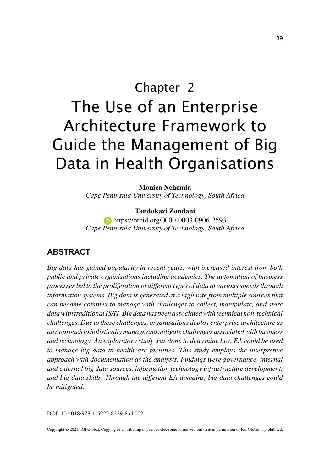# Chapter 2 The Use of an Enterprise Architecture Framework to Guide the Management of Big Data in Health Organisations

#### **Monica Nehemia**

*Cape Peninsula University of Technology, South Africa*

#### **Tandokazi Zondani**

 https://orcid.org/0000-0003-0906-2593 *Cape Peninsula University of Technology, South Africa*

## **ABSTRACT**

*Big data has gained popularity in recent years, with increased interest from both public and private organisations including academics. The automation of business processes led to the proliferation of different types of data at various speeds through*  information systems. Big data is generated at a high rate from multiple sources that *can become complex to manage with challenges to collect, manipulate, and store data with traditional IS/IT. Big data has been associated with technical non-technical challenges. Due to these challenges, organisations deploy enterprise architecture as an approach to holistically manage and mitigate challenges associated with business and technology. An exploratory study was done to determine how EA could be used to manage big data in healthcare facilities. This study employs the interpretive approach with documentation as the analysis. Findings were governance, internal and external big data sources, information technology infrastructure development, and big data skills. Through the different EA domains, big data challenges could be mitigated.*

DOI: 10.4018/978-1-5225-8229-8.ch002

Copyright © 2021, IGI Global. Copying or distributing in print or electronic forms without written permission of IGI Global is prohibited.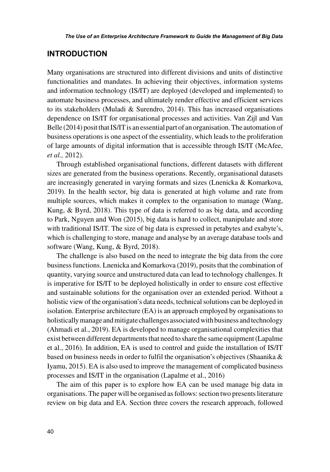## **INTRODUCTION**

Many organisations are structured into different divisions and units of distinctive functionalities and mandates. In achieving their objectives, information systems and information technology (IS/IT) are deployed (developed and implemented) to automate business processes, and ultimately render effective and efficient services to its stakeholders (Muladi & Surendro, 2014). This has increased organisations dependence on IS/IT for organisational processes and activities. Van Zijl and Van Belle (2014) posit that IS/IT is an essential part of an organisation. The automation of business operations is one aspect of the essentiality, which leads to the proliferation of large amounts of digital information that is accessible through IS/IT (McAfee, *et al.,* 2012).

Through established organisational functions, different datasets with different sizes are generated from the business operations. Recently, organisational datasets are increasingly generated in varying formats and sizes (Lnenicka & Komarkova, 2019). In the health sector, big data is generated at high volume and rate from multiple sources, which makes it complex to the organisation to manage (Wang, Kung, & Byrd, 2018). This type of data is referred to as big data, and according to Park, Nguyen and Won (2015), big data is hard to collect, manipulate and store with traditional IS/IT. The size of big data is expressed in petabytes and exabyte's, which is challenging to store, manage and analyse by an average database tools and software (Wang, Kung, & Byrd, 2018).

The challenge is also based on the need to integrate the big data from the core business functions. Lnenicka and Komarkova (2019), posits that the combination of quantity, varying source and unstructured data can lead to technology challenges. It is imperative for IS/IT to be deployed holistically in order to ensure cost effective and sustainable solutions for the organisation over an extended period. Without a holistic view of the organisation's data needs, technical solutions can be deployed in isolation. Enterprise architecture (EA) is an approach employed by organisations to holistically manage and mitigate challenges associated with business and technology (Ahmadi et al., 2019). EA is developed to manage organisational complexities that exist between different departments that need to share the same equipment (Lapalme et al., 2016). In addition, EA is used to control and guide the installation of IS/IT based on business needs in order to fulfil the organisation's objectives (Shaanika & Iyamu, 2015). EA is also used to improve the management of complicated business processes and IS/IT in the organisation (Lapalme et al., 2016)

The aim of this paper is to explore how EA can be used manage big data in organisations. The paper will be organised as follows: section two presents literature review on big data and EA. Section three covers the research approach, followed